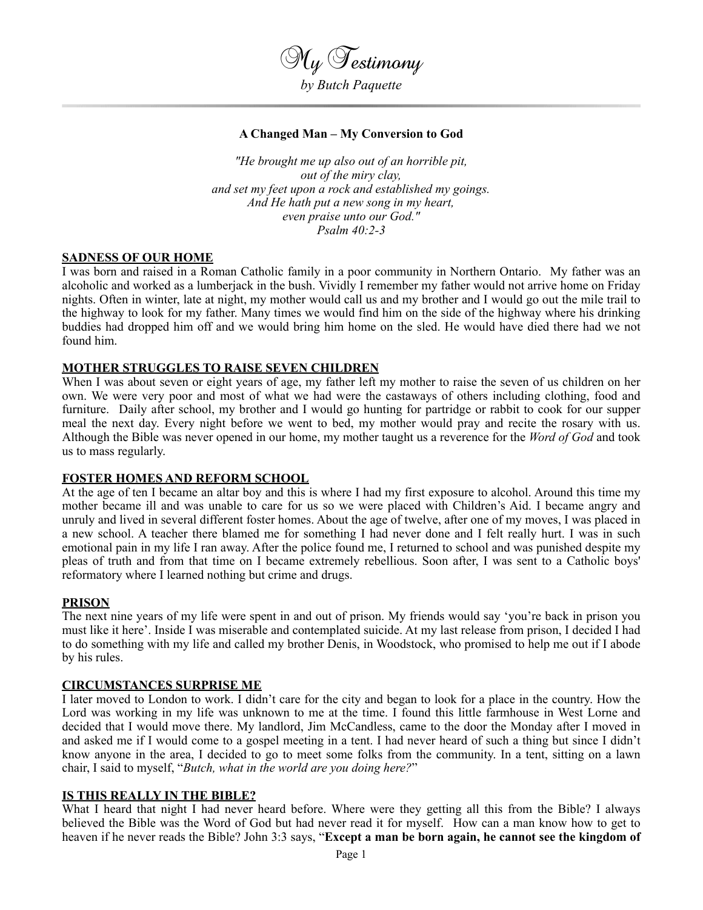

### **A Changed Man – My Conversion to God**

*"He brought me up also out of an horrible pit, out of the miry clay, and set my feet upon a rock and established my goings. And He hath put a new song in my heart, even praise unto our God." Psalm 40:2-3*

### **SADNESS OF OUR HOME**

I was born and raised in a Roman Catholic family in a poor community in Northern Ontario. My father was an alcoholic and worked as a lumberjack in the bush. Vividly I remember my father would not arrive home on Friday nights. Often in winter, late at night, my mother would call us and my brother and I would go out the mile trail to the highway to look for my father. Many times we would find him on the side of the highway where his drinking buddies had dropped him off and we would bring him home on the sled. He would have died there had we not found him.

### **MOTHER STRUGGLES TO RAISE SEVEN CHILDREN**

When I was about seven or eight years of age, my father left my mother to raise the seven of us children on her own. We were very poor and most of what we had were the castaways of others including clothing, food and furniture. Daily after school, my brother and I would go hunting for partridge or rabbit to cook for our supper meal the next day. Every night before we went to bed, my mother would pray and recite the rosary with us. Although the Bible was never opened in our home, my mother taught us a reverence for the *Word of God* and took us to mass regularly.

### **FOSTER HOMES AND REFORM SCHOOL**

At the age of ten I became an altar boy and this is where I had my first exposure to alcohol. Around this time my mother became ill and was unable to care for us so we were placed with Children's Aid. I became angry and unruly and lived in several different foster homes. About the age of twelve, after one of my moves, I was placed in a new school. A teacher there blamed me for something I had never done and I felt really hurt. I was in such emotional pain in my life I ran away. After the police found me, I returned to school and was punished despite my pleas of truth and from that time on I became extremely rebellious. Soon after, I was sent to a Catholic boys' reformatory where I learned nothing but crime and drugs.

### **PRISON**

The next nine years of my life were spent in and out of prison. My friends would say 'you're back in prison you must like it here'. Inside I was miserable and contemplated suicide. At my last release from prison, I decided I had to do something with my life and called my brother Denis, in Woodstock, who promised to help me out if I abode by his rules.

### **CIRCUMSTANCES SURPRISE ME**

I later moved to London to work. I didn't care for the city and began to look for a place in the country. How the Lord was working in my life was unknown to me at the time. I found this little farmhouse in West Lorne and decided that I would move there. My landlord, Jim McCandless, came to the door the Monday after I moved in and asked me if I would come to a gospel meeting in a tent. I had never heard of such a thing but since I didn't know anyone in the area, I decided to go to meet some folks from the community. In a tent, sitting on a lawn chair, I said to myself, "*Butch, what in the world are you doing here?*"

## **IS THIS REALLY IN THE BIBLE?**

What I heard that night I had never heard before. Where were they getting all this from the Bible? I always believed the Bible was the Word of God but had never read it for myself. How can a man know how to get to heaven if he never reads the Bible? John 3:3 says, "**Except a man be born again, he cannot see the kingdom of**